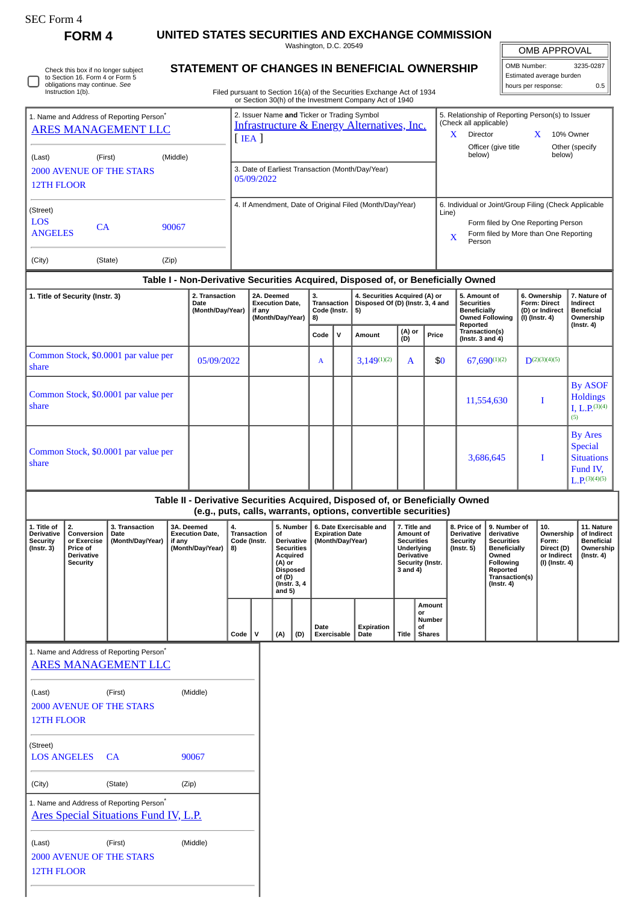| SEC Form- |  |
|-----------|--|
|-----------|--|

∩

Check this box if no longer subject to Section 16. Form 4 or Form 5 obligations may continue. *See* Instruction 1(b).

**FORM 4 UNITED STATES SECURITIES AND EXCHANGE COMMISSION** Washington, D.C. 20549

**STATEMENT OF CHANGES IN BENEFICIAL OWNERSHIP**

| OMB APPROVAL             |           |  |  |  |  |  |
|--------------------------|-----------|--|--|--|--|--|
| OMB Number:              | 3235-0287 |  |  |  |  |  |
| Estimated average burden |           |  |  |  |  |  |
| hours per response:      | ስ 5       |  |  |  |  |  |

Filed pursuant to Section 16(a) of the Securities Exchange Act of 1934

|                                                                                    |                                      |                                            |                                                                                | or Section 30(h) of the Investment Company Act of 1940                                                              |                                    |                                                                         |                  |               |                                                                                                                                                              |                                                                                                     |                                                            |                                                                |
|------------------------------------------------------------------------------------|--------------------------------------|--------------------------------------------|--------------------------------------------------------------------------------|---------------------------------------------------------------------------------------------------------------------|------------------------------------|-------------------------------------------------------------------------|------------------|---------------|--------------------------------------------------------------------------------------------------------------------------------------------------------------|-----------------------------------------------------------------------------------------------------|------------------------------------------------------------|----------------------------------------------------------------|
| 1. Name and Address of Reporting Person <sup>®</sup><br><b>ARES MANAGEMENT LLC</b> |                                      |                                            |                                                                                | 2. Issuer Name and Ticker or Trading Symbol<br><b>Infrastructure &amp; Energy Alternatives, Inc.</b><br>$[$ IEA $]$ |                                    |                                                                         |                  |               |                                                                                                                                                              | 5. Relationship of Reporting Person(s) to Issuer<br>(Check all applicable)<br>X.<br><b>Director</b> | X                                                          | 10% Owner                                                      |
| (Last)                                                                             | (First)                              | (Middle)                                   |                                                                                |                                                                                                                     |                                    |                                                                         |                  |               |                                                                                                                                                              | Officer (give title<br>below)                                                                       | below)                                                     | Other (specify                                                 |
| <b>12TH FLOOR</b>                                                                  | <b>2000 AVENUE OF THE STARS</b>      |                                            |                                                                                | 3. Date of Earliest Transaction (Month/Day/Year)<br>05/09/2022                                                      |                                    |                                                                         |                  |               |                                                                                                                                                              |                                                                                                     |                                                            |                                                                |
| (Street)<br><b>LOS</b><br>CA<br>90067<br><b>ANGELES</b>                            |                                      |                                            |                                                                                | 4. If Amendment, Date of Original Filed (Month/Day/Year)                                                            |                                    |                                                                         |                  |               | 6. Individual or Joint/Group Filing (Check Applicable<br>Line)<br>Form filed by One Reporting Person<br>Form filed by More than One Reporting<br>X<br>Person |                                                                                                     |                                                            |                                                                |
| (City)                                                                             | (State)                              | (Zip)                                      |                                                                                |                                                                                                                     |                                    |                                                                         |                  |               |                                                                                                                                                              |                                                                                                     |                                                            |                                                                |
|                                                                                    |                                      |                                            |                                                                                | Table I - Non-Derivative Securities Acquired, Disposed of, or Beneficially Owned                                    |                                    |                                                                         |                  |               |                                                                                                                                                              |                                                                                                     |                                                            |                                                                |
| 1. Title of Security (Instr. 3)                                                    |                                      | 2. Transaction<br>Date<br>(Month/Day/Year) | 2A. Deemed<br>3.<br><b>Execution Date,</b><br>if anv<br>(Month/Day/Year)<br>8) |                                                                                                                     | <b>Transaction</b><br>Code (Instr. | 4. Securities Acquired (A) or<br>Disposed Of (D) (Instr. 3, 4 and<br>5) |                  |               | 5. Amount of<br><b>Securities</b><br><b>Beneficially</b><br><b>Owned Following</b>                                                                           | 6. Ownership<br><b>Form: Direct</b><br>(D) or Indirect<br>$(I)$ (Instr. 4)                          | 7. Nature of<br>Indirect<br><b>Beneficial</b><br>Ownership |                                                                |
|                                                                                    |                                      |                                            |                                                                                |                                                                                                                     | Code                               | $\mathsf{v}$                                                            | Amount           | (A) or<br>(D) | Price                                                                                                                                                        | Reported<br>Transaction(s)<br>$($ lnstr. 3 and 4 $)$                                                |                                                            | $($ Instr. 4 $)$                                               |
| share                                                                              | Common Stock, \$0.0001 par value per |                                            | 05/09/2022                                                                     |                                                                                                                     | A                                  |                                                                         | $3,149^{(1)(2)}$ | A             | \$0                                                                                                                                                          | $67.690^{(1)(2)}$                                                                                   | $D^{(2)(3)(4)(5)}$                                         |                                                                |
| share                                                                              | Common Stock, \$0.0001 par value per |                                            |                                                                                |                                                                                                                     |                                    |                                                                         |                  |               |                                                                                                                                                              | 11,554,630                                                                                          | T                                                          | <b>By ASOF</b><br><b>Holdings</b><br>I, L, $P^{(3)(4)}$<br>(5) |
| share                                                                              | Common Stock, \$0.0001 par value per |                                            |                                                                                |                                                                                                                     |                                    |                                                                         |                  |               |                                                                                                                                                              | 3,686,645                                                                                           | T                                                          | <b>By Ares</b><br><b>Special</b><br><b>Situations</b>          |

## **Table II - Derivative Securities Acquired, Disposed of, or Beneficially Owned (e.g., puts, calls, warrants, options, convertible securities)**

| 1. Title of<br><b>Derivative</b><br>Security<br>$($ Instr. 3 $)$ | Conversion  <br>or Exercise<br><b>Price of</b><br><b>Derivative</b><br>Security | 3. Transaction<br>Date<br>(Month/Day/Year) | <b>3A. Deemed</b><br><b>Execution Date.</b><br>if any<br>(Month/Day/Year) | 4.<br>Transaction<br>Code (Instr.<br>8) |      | 5. Number<br>of<br><b>Derivative</b><br><b>Securities</b><br>Acquired<br>(A) or<br>Disposed<br>of (D)<br>(Instr. 3, 4)<br>and $5)$ |     | 6. Date Exercisable and<br><b>Expiration Date</b><br>(Month/Day/Year) |                            | 7. Title and<br>Amount of<br><b>Securities</b><br><b>Underlying</b><br><b>Derivative</b><br>Security (Instr.<br>3 and 4) |              | 8. Price of<br>Derivative<br>Security<br>(Instr. 5) | 9. Number of<br>derivative<br><b>Securities</b><br><b>Beneficially</b><br>Owned<br>Following<br>Reported<br><b>Transaction(s)</b><br>$($ Instr. 4 $)$ | 10.<br>Ownership<br>Form:<br>Direct (D)<br>or Indirect<br>(I) (Instr. 4) | 11. Nature<br>of Indirect<br>Beneficial<br>Ownership<br>$($ Instr. 4 $)$ |  |
|------------------------------------------------------------------|---------------------------------------------------------------------------------|--------------------------------------------|---------------------------------------------------------------------------|-----------------------------------------|------|------------------------------------------------------------------------------------------------------------------------------------|-----|-----------------------------------------------------------------------|----------------------------|--------------------------------------------------------------------------------------------------------------------------|--------------|-----------------------------------------------------|-------------------------------------------------------------------------------------------------------------------------------------------------------|--------------------------------------------------------------------------|--------------------------------------------------------------------------|--|
|                                                                  |                                                                                 |                                            |                                                                           |                                         | Code |                                                                                                                                    | (A) | (D)                                                                   | Date<br><b>Exercisable</b> | Expiration<br>Date                                                                                                       | <b>Title</b> | Amount<br>or<br>Number<br>οf<br>Shares              |                                                                                                                                                       |                                                                          |                                                                          |  |

1. Name and Address of Reporting Person\* [ARES MANAGEMENT LLC](http://www.sec.gov/cgi-bin/browse-edgar?action=getcompany&CIK=0001259313)

| (Last)                                               | (First)                                      | (Middle) |  |  |  |  |  |
|------------------------------------------------------|----------------------------------------------|----------|--|--|--|--|--|
| 2000 AVENUE OF THE STARS                             |                                              |          |  |  |  |  |  |
| <b>12TH FLOOR</b>                                    |                                              |          |  |  |  |  |  |
| (Street)                                             |                                              |          |  |  |  |  |  |
| <b>LOS ANGELES</b>                                   | CA                                           | 90067    |  |  |  |  |  |
|                                                      |                                              |          |  |  |  |  |  |
| (City)                                               | (State)                                      | (Zip)    |  |  |  |  |  |
| 1. Name and Address of Reporting Person <sup>*</sup> |                                              |          |  |  |  |  |  |
|                                                      | <u>Ares Special Situations Fund IV, L.P.</u> |          |  |  |  |  |  |
|                                                      |                                              |          |  |  |  |  |  |
| (Last)                                               | (First)                                      | (Middle) |  |  |  |  |  |
| 2000 AVENUE OF THE STARS                             |                                              |          |  |  |  |  |  |
| <b>12TH FLOOR</b>                                    |                                              |          |  |  |  |  |  |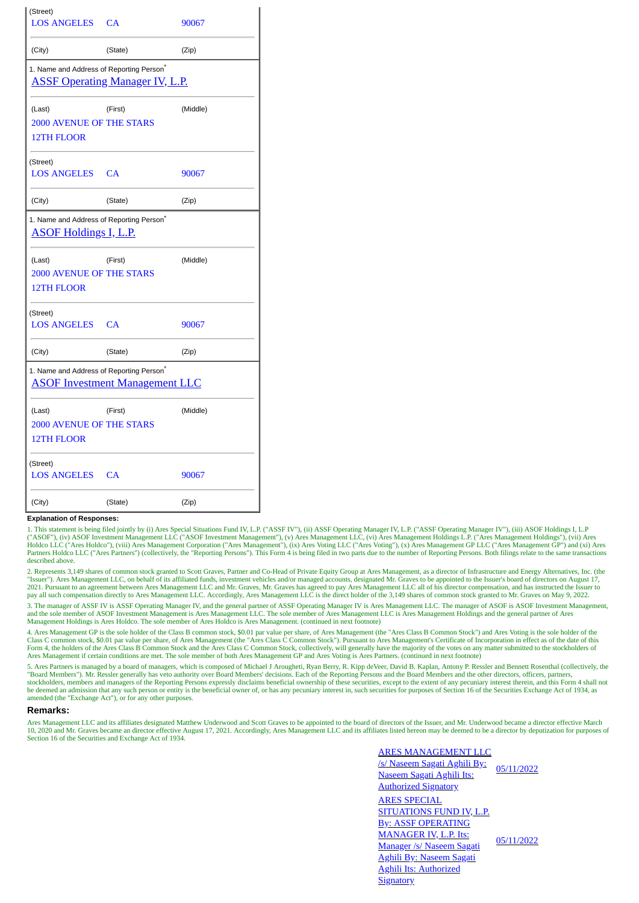| (Street)<br><b>LOS ANGELES CA</b>                                                              |                                       | 90067    |  |  |  |  |  |  |
|------------------------------------------------------------------------------------------------|---------------------------------------|----------|--|--|--|--|--|--|
| (City)                                                                                         | (State)                               | (Zip)    |  |  |  |  |  |  |
| 1. Name and Address of Reporting Person <sup>*</sup><br><b>ASSF Operating Manager IV, L.P.</b> |                                       |          |  |  |  |  |  |  |
| (Last)<br><b>2000 AVENUE OF THE STARS</b>                                                      | (First)                               | (Middle) |  |  |  |  |  |  |
| 12TH FLOOR                                                                                     |                                       |          |  |  |  |  |  |  |
| (Street)<br>LOS ANGELES CA                                                                     |                                       | 90067    |  |  |  |  |  |  |
| (City)                                                                                         | (State)                               | (Zip)    |  |  |  |  |  |  |
| 1. Name and Address of Reporting Person <sup>*</sup><br><b>ASOF Holdings I, L.P.</b>           |                                       |          |  |  |  |  |  |  |
| (Last)<br><b>2000 AVENUE OF THE STARS</b><br><b>12TH FLOOR</b>                                 | (First)                               | (Middle) |  |  |  |  |  |  |
| (Street)<br><b>LOS ANGELES CA</b>                                                              |                                       | 90067    |  |  |  |  |  |  |
| (City)                                                                                         | (State)                               | (Zip)    |  |  |  |  |  |  |
| 1. Name and Address of Reporting Person <sup>*</sup>                                           | <b>ASOF Investment Management LLC</b> |          |  |  |  |  |  |  |
| (Last)<br><b>2000 AVENUE OF THE STARS</b><br><b>12TH FLOOR</b>                                 | (First)                               | (Middle) |  |  |  |  |  |  |
| (Street)<br><b>LOS ANGELES</b>                                                                 | CA                                    | 90067    |  |  |  |  |  |  |
| (City)                                                                                         | (State)                               | (Zip)    |  |  |  |  |  |  |

## **Explanation of Responses:**

1. This statement is being filed jointly by (i) Ares Special Situations Fund IV, L.P. ("ASSF IV"), (ii) ASSF Operating Manager IV, L.P. ("ASSF Operating Manager IV"), (iii) ASOF Holdings I, L.P.<br>("ASOF"), (iv) ASOF Investm Partners Holdco LLC ("Ares Partners") (collectively, the "Reporting Persons"). This Form 4 is being filed in two parts due to the number of Reporting Persons. Both filings relate to the same transactions described above.

2. Represents 3,149 shares of common stock granted to Scott Graves, Partner and Co-Head of Private Equity Group at Ares Management, as a director of Infrastructure and Energy Alternatives, Inc. (the "Issuer"). Ares Management LLC, on behalf of its affiliated funds, investment vehicles and/or managed accounts, designated Mr. Graves to be appointed to the Issuer's board of directors on August 17,<br>2021. Pursuant to an ag pay all such compensation directly to Ares Management LLC. Accordingly, Ares Management LLC is the direct holder of the 3,149 shares of common stock granted to Mr. Graves on May 9, 2022.

3. The manager of ASSF IV is ASSF Operating Manager IV, and the general partner of ASSF Operating Manager IV is Ares Management LLC. The manager of ASOF is ASOF Investment Management, and the sole member of ASOF Investment Management is Ares Management LLC. The sole member of Ares Management LLC is Ares Management Holdings and the general partner of Ares<br>Management Holdings is Ares Holdco. The sole memb

4. Ares Management GP is the sole holder of the Class B common stock, \$0.01 par value per share, of Ares Management (the "Ares Class B Common Stock") and Ares Voting is the sole holder of the<br>Class C common stock, \$0.01 pa Ares Management if certain conditions are met. The sole member of both Ares Management GP and Ares Voting is Ares Partners. (continued in next footnote)

5. Ares Partners is managed by a board of managers, which is composed of Michael J Arougheti, Ryan Berry, R. Kipp deVeer, David B. Kaplan, Antony P. Ressler and Bennett Rosenthal (collectively, the "Board Members"). Mr. Ressler generally has veto authority over Board Members' decisions. Each of the Reporting Persons and the Board Members and the other directors, officers, partners, stockholders, members and managers of the Reporting Persons expressly disclaims beneficial ownership of these securities, except to the extent of any pecuniary interest therein, and this Form 4 shall not be deemed an admission that any such person or entity is the beneficial owner of, or has any pecuniary interest in, such securities for purposes of Section 16 of the Securities Exchange Act of 1934, as<br>amended (the "Exchan

## **Remarks:**

Ares Management LLC and its affiliates designated Matthew Underwood and Scott Graves to be appointed to the board of directors of the Issuer, and Mr. Underwood became a director effective March 10, 2020 and Mr. Graves became an director effective August 17, 2021. Accordingly, Ares Management LLC and its affiliates listed hereon may be deemed to be a director by deputization for purposes of Section 16 of the Securities and Exchange Act of 1934.

> ARES MANAGEMENT LLC /s/ Naseem Sagati Aghili By: Naseem Sagati Aghili Its: Authorized Signatory 05/11/2022 ARES SPECIAL SITUATIONS FUND IV, L.P. By: ASSF OPERATING MANAGER IV, L.P. Its: Manager /s/ Naseem Sagati Aghili By: Naseem Sagati Aghili Its: Authorized **Signatory** 05/11/2022